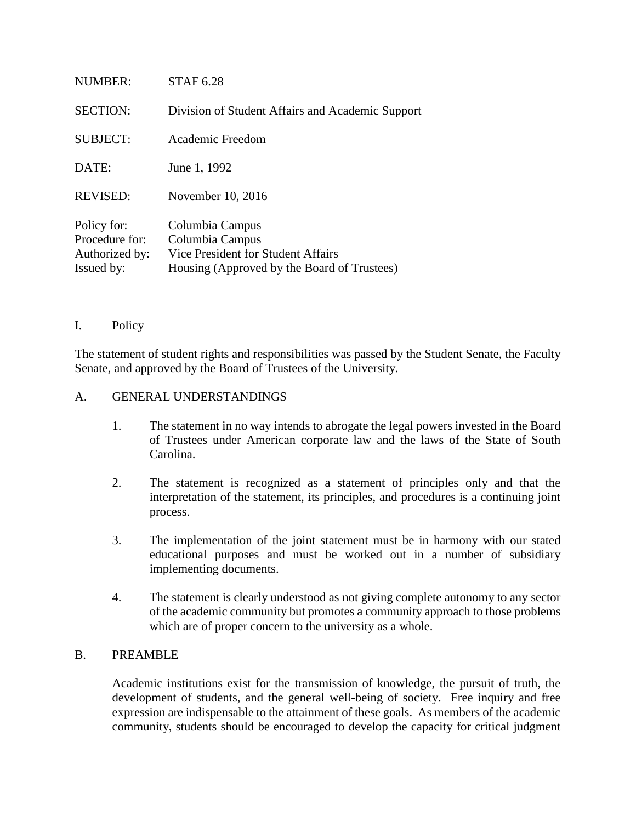| NUMBER:                                                       | STAF 6.28                                                                                                               |
|---------------------------------------------------------------|-------------------------------------------------------------------------------------------------------------------------|
| <b>SECTION:</b>                                               | Division of Student Affairs and Academic Support                                                                        |
| <b>SUBJECT:</b>                                               | Academic Freedom                                                                                                        |
| DATE:                                                         | June 1, 1992                                                                                                            |
| <b>REVISED:</b>                                               | November 10, 2016                                                                                                       |
| Policy for:<br>Procedure for:<br>Authorized by:<br>Issued by: | Columbia Campus<br>Columbia Campus<br>Vice President for Student Affairs<br>Housing (Approved by the Board of Trustees) |

# I. Policy

The statement of student rights and responsibilities was passed by the Student Senate, the Faculty Senate, and approved by the Board of Trustees of the University.

#### A. GENERAL UNDERSTANDINGS

- 1. The statement in no way intends to abrogate the legal powers invested in the Board of Trustees under American corporate law and the laws of the State of South Carolina.
- 2. The statement is recognized as a statement of principles only and that the interpretation of the statement, its principles, and procedures is a continuing joint process.
- 3. The implementation of the joint statement must be in harmony with our stated educational purposes and must be worked out in a number of subsidiary implementing documents.
- 4. The statement is clearly understood as not giving complete autonomy to any sector of the academic community but promotes a community approach to those problems which are of proper concern to the university as a whole.

#### B. PREAMBLE

Academic institutions exist for the transmission of knowledge, the pursuit of truth, the development of students, and the general well-being of society. Free inquiry and free expression are indispensable to the attainment of these goals. As members of the academic community, students should be encouraged to develop the capacity for critical judgment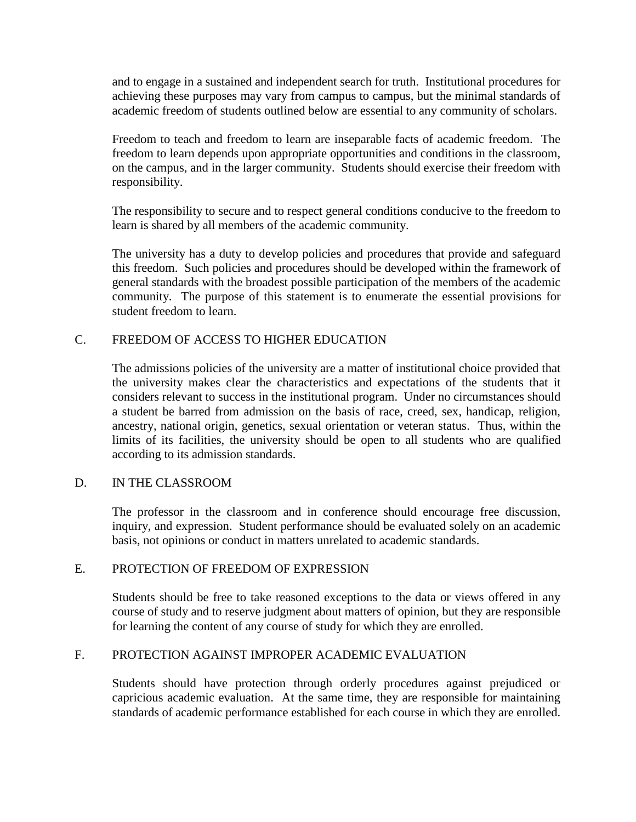and to engage in a sustained and independent search for truth. Institutional procedures for achieving these purposes may vary from campus to campus, but the minimal standards of academic freedom of students outlined below are essential to any community of scholars.

Freedom to teach and freedom to learn are inseparable facts of academic freedom. The freedom to learn depends upon appropriate opportunities and conditions in the classroom, on the campus, and in the larger community. Students should exercise their freedom with responsibility.

The responsibility to secure and to respect general conditions conducive to the freedom to learn is shared by all members of the academic community.

The university has a duty to develop policies and procedures that provide and safeguard this freedom. Such policies and procedures should be developed within the framework of general standards with the broadest possible participation of the members of the academic community. The purpose of this statement is to enumerate the essential provisions for student freedom to learn.

# C. FREEDOM OF ACCESS TO HIGHER EDUCATION

The admissions policies of the university are a matter of institutional choice provided that the university makes clear the characteristics and expectations of the students that it considers relevant to success in the institutional program. Under no circumstances should a student be barred from admission on the basis of race, creed, sex, handicap, religion, ancestry, national origin, genetics, sexual orientation or veteran status. Thus, within the limits of its facilities, the university should be open to all students who are qualified according to its admission standards.

## D. IN THE CLASSROOM

The professor in the classroom and in conference should encourage free discussion, inquiry, and expression. Student performance should be evaluated solely on an academic basis, not opinions or conduct in matters unrelated to academic standards.

## E. PROTECTION OF FREEDOM OF EXPRESSION

Students should be free to take reasoned exceptions to the data or views offered in any course of study and to reserve judgment about matters of opinion, but they are responsible for learning the content of any course of study for which they are enrolled.

## F. PROTECTION AGAINST IMPROPER ACADEMIC EVALUATION

Students should have protection through orderly procedures against prejudiced or capricious academic evaluation. At the same time, they are responsible for maintaining standards of academic performance established for each course in which they are enrolled.